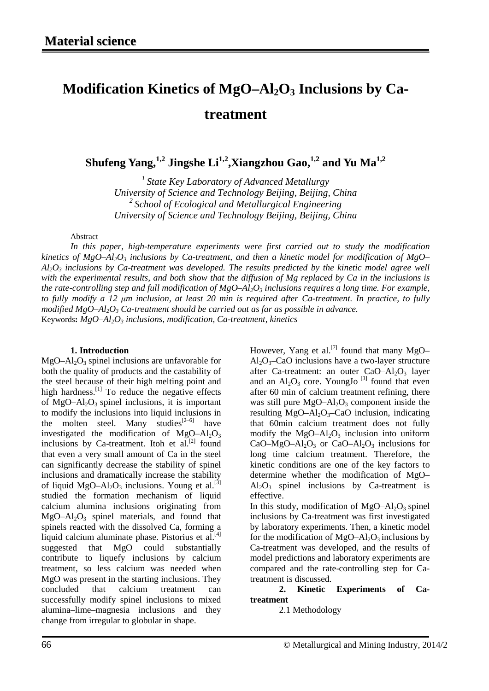## Modification Kinetics of MgO–Al<sub>2</sub>O<sub>3</sub> Inclusions by Ca**treatment**

**Shufeng Yang,**<sup>1,2</sup> **Jingshe Li**<sup>1,2</sup>,**Xiangzhou Gao,**<sup>1,2</sup> **and Yu Ma**<sup>1,2</sup>

*1 State Key Laboratory of Advanced Metallurgy University of Science and Technology Beijing, Beijing, China 2 School of Ecological and Metallurgical Engineering University of Science and Technology Beijing, Beijing, China*

Abstract

*In this paper, high-temperature experiments were first carried out to study the modification kinetics of MgO–Al2O3 inclusions by Ca-treatment, and then a kinetic model for modification of MgO–*  $A_1O_3$  *inclusions by Ca-treatment was developed. The results predicted by the kinetic model agree well with the experimental results, and both show that the diffusion of Mg replaced by Ca in the inclusions is the rate-controlling step and full modification of MgO–Al2O3 inclusions requires a long time. For example, to fully modify a 12 μm inclusion, at least 20 min is required after Ca-treatment. In practice, to fully modified MgO–Al2O3 Ca-treatment should be carried out as far as possible in advance.* Keywords:  $MgO-Al_2O_3$  *inclusions, modification, Ca-treatment, kinetics* 

## **1. Introduction**

 $MgO-Al<sub>2</sub>O<sub>3</sub>$  spinel inclusions are unfavorable for both the quality of products and the castability of the steel because of their high melting point and high hardness. $^{[1]}$  To reduce the negative effects of  $MgO-Al_2O_3$  spinel inclusions, it is important to modify the inclusions into liquid inclusions in the molten steel. Many studies<sup>[2–6]</sup> have investigated the modification of  $MgO-Al<sub>2</sub>O<sub>3</sub>$ inclusions by Ca-treatment. Itoh et al. $^{[2]}$  found that even a very small amount of Ca in the steel can significantly decrease the stability of spinel inclusions and dramatically increase the stability of liquid MgO–Al<sub>2</sub>O<sub>3</sub> inclusions. Young et al.<sup>[3]</sup> studied the formation mechanism of liquid calcium alumina inclusions originating from  $MgO-Al_2O_3$  spinel materials, and found that spinels reacted with the dissolved Ca, forming a liquid calcium aluminate phase. Pistorius et al.<sup>[4]</sup> suggested that MgO could substantially contribute to liquefy inclusions by calcium treatment, so less calcium was needed when MgO was present in the starting inclusions. They concluded that calcium treatment can successfully modify spinel inclusions to mixed alumina–lime–magnesia inclusions and they change from irregular to globular in shape.

However, Yang et al.<sup>[7]</sup> found that many MgO–  $Al_2O_3$ –CaO inclusions have a two-layer structure after Ca-treatment: an outer  $CaO-A1<sub>2</sub>O<sub>3</sub>$  layer and an  $Al_2O_3$  core. YoungJo<sup>[3]</sup> found that even after 60 min of calcium treatment refining, there was still pure  $MgO-Al_2O_3$  component inside the resulting  $MgO-Al_2O_3-CaO$  inclusion, indicating that 60min calcium treatment does not fully modify the  $MgO-Al_2O_3$  inclusion into uniform CaO–MgO–Al<sub>2</sub>O<sub>3</sub> or CaO–Al<sub>2</sub>O<sub>3</sub> inclusions for long time calcium treatment. Therefore, the kinetic conditions are one of the key factors to determine whether the modification of MgO–  $Al_2O_3$  spinel inclusions by Ca-treatment is effective.

In this study, modification of  $MgO-Al_2O_3$  spinel inclusions by Ca-treatment was first investigated by laboratory experiments. Then, a kinetic model for the modification of  $MgO-Al_2O_3$  inclusions by Ca-treatment was developed, and the results of model predictions and laboratory experiments are compared and the rate-controlling step for Catreatment is discussed.

**2. Kinetic Experiments of Catreatment**

2.1 Methodology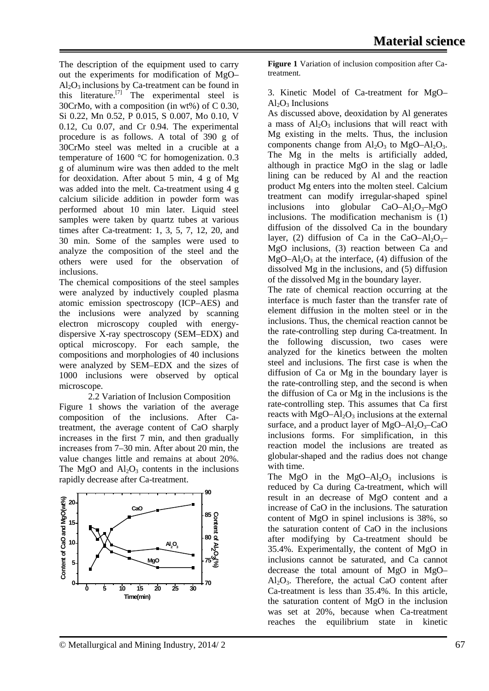The description of the equipment used to carry out the experiments for modification of MgO–  $Al<sub>2</sub>O<sub>3</sub>$  inclusions by Ca-treatment can be found in this literature.<sup>[7]</sup> The experimental steel is 30CrMo, with a composition (in wt%) of C 0.30, Si 0.22, Mn 0.52, P 0.015, S 0.007, Mo 0.10, V 0.12, Cu 0.07, and Cr 0.94. The experimental procedure is as follows. A total of 390 g of 30CrMo steel was melted in a crucible at a temperature of 1600 °C for homogenization. 0.3 g of aluminum wire was then added to the melt for deoxidation. After about 5 min, 4 g of Mg was added into the melt. Ca-treatment using 4 g calcium silicide addition in powder form was performed about 10 min later. Liquid steel samples were taken by quartz tubes at various times after Ca-treatment: 1, 3, 5, 7, 12, 20, and 30 min. Some of the samples were used to analyze the composition of the steel and the others were used for the observation of inclusions.

The chemical compositions of the steel samples were analyzed by inductively coupled plasma atomic emission spectroscopy (ICP–AES) and the inclusions were analyzed by scanning electron microscopy coupled with energydispersive X-ray spectroscopy (SEM–EDX) and optical microscopy. For each sample, the compositions and morphologies of 40 inclusions were analyzed by SEM–EDX and the sizes of 1000 inclusions were observed by optical microscope.

2.2 Variation of Inclusion Composition Figure 1 shows the variation of the average composition of the inclusions. After Catreatment, the average content of CaO sharply increases in the first 7 min, and then gradually increases from 7–30 min. After about 20 min, the value changes little and remains at about 20%. The MgO and  $Al_2O_3$  contents in the inclusions rapidly decrease after Ca-treatment.



**Figure 1** Variation of inclusion composition after Catreatment.

3. Kinetic Model of Ca-treatment for MgO–  $Al_2O_3$  Inclusions

As discussed above, deoxidation by Al generates a mass of  $Al_2O_3$  inclusions that will react with Mg existing in the melts. Thus, the inclusion components change from  $Al_2O_3$  to  $MgO-Al_2O_3$ . The Mg in the melts is artificially added, although in practice MgO in the slag or ladle lining can be reduced by Al and the reaction product Mg enters into the molten steel. Calcium treatment can modify irregular-shaped spinel inclusions into globular  $CaO-Al_2O_3-MgO$ inclusions. The modification mechanism is (1) diffusion of the dissolved Ca in the boundary layer, (2) diffusion of Ca in the CaO–Al<sub>2</sub>O<sub>3</sub>– MgO inclusions, (3) reaction between Ca and  $MgO-Al<sub>2</sub>O<sub>3</sub>$  at the interface, (4) diffusion of the dissolved Mg in the inclusions, and (5) diffusion of the dissolved Mg in the boundary layer.

The rate of chemical reaction occurring at the interface is much faster than the transfer rate of element diffusion in the molten steel or in the inclusions. Thus, the chemical reaction cannot be the rate-controlling step during Ca-treatment. In the following discussion, two cases were analyzed for the kinetics between the molten steel and inclusions. The first case is when the diffusion of Ca or Mg in the boundary layer is the rate-controlling step, and the second is when the diffusion of Ca or Mg in the inclusions is the rate-controlling step. This assumes that Ca first reacts with  $MgO-Al_2O_3$  inclusions at the external surface, and a product layer of  $MgO-Al_2O_3-CaO$ inclusions forms. For simplification, in this reaction model the inclusions are treated as globular-shaped and the radius does not change with time.

The MgO in the MgO–Al<sub>2</sub>O<sub>3</sub> inclusions is reduced by Ca during Ca-treatment, which will result in an decrease of MgO content and a increase of CaO in the inclusions. The saturation content of MgO in spinel inclusions is 38%, so the saturation content of CaO in the inclusions after modifying by Ca-treatment should be 35.4%. Experimentally, the content of MgO in inclusions cannot be saturated, and Ca cannot decrease the total amount of MgO in MgO–  $Al_2O_3$ . Therefore, the actual CaO content after Ca-treatment is less than 35.4%. In this article, the saturation content of MgO in the inclusion was set at 20%, because when Ca-treatment reaches the equilibrium state in kinetic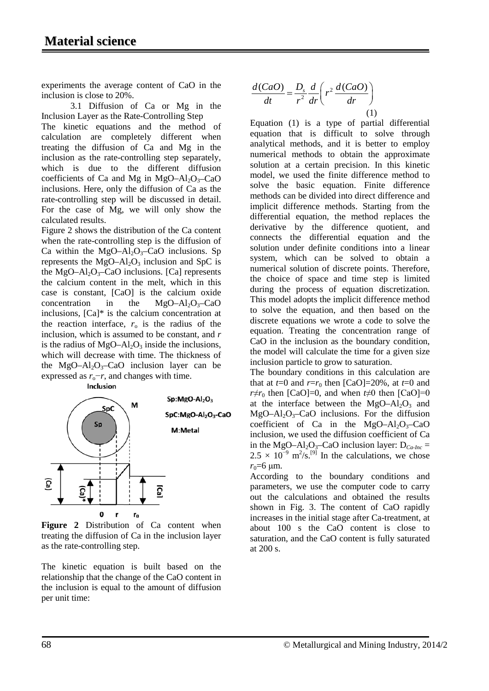experiments the average content of CaO in the inclusion is close to 20%.

3.1 Diffusion of Ca or Mg in the Inclusion Layer as the Rate-Controlling Step

The kinetic equations and the method of calculation are completely different when treating the diffusion of Ca and Mg in the inclusion as the rate-controlling step separately, which is due to the different diffusion coefficients of Ca and Mg in MgO–Al<sub>2</sub>O<sub>3</sub>–CaO inclusions. Here, only the diffusion of Ca as the rate-controlling step will be discussed in detail. For the case of Mg, we will only show the calculated results.

Figure 2 shows the distribution of the Ca content when the rate-controlling step is the diffusion of Ca within the MgO–Al<sub>2</sub>O<sub>3</sub>–CaO inclusions. Sp represents the  $MgO-Al<sub>2</sub>O<sub>3</sub>$  inclusion and SpC is the  $MgO-Al_2O_3-CaO$  inclusions. [Ca] represents the calcium content in the melt, which in this case is constant, [CaO] is the calcium oxide concentration in the  $MgO-Al_2O_3-CaO$ inclusions, [Ca]\* is the calcium concentration at the reaction interface,  $r_0$  is the radius of the inclusion, which is assumed to be constant, and *r* is the radius of  $MgO-Al<sub>2</sub>O<sub>3</sub>$  inside the inclusions, which will decrease with time. The thickness of the MgO–Al<sub>2</sub>O<sub>3</sub>–CaO inclusion layer can be expressed as *r*<sub>o</sub>−*r*, and changes with time. Inclusion



Figure 2 Distribution of Ca content when treating the diffusion of Ca in the inclusion layer as the rate-controlling step.

The kinetic equation is built based on the relationship that the change of the CaO content in the inclusion is equal to the amount of diffusion per unit time:

$$
\frac{d(CaO)}{dt} = \frac{D_s}{r^2} \frac{d}{dr} \left( r^2 \frac{d(CaO)}{dr} \right)
$$
(1)

Equation (1) is a type of partial differential equation that is difficult to solve through analytical methods, and it is better to employ numerical methods to obtain the approximate solution at a certain precision. In this kinetic model, we used the finite difference method to solve the basic equation. Finite difference methods can be divided into direct difference and implicit difference methods. Starting from the differential equation, the method replaces the derivative by the difference quotient, and connects the differential equation and the solution under definite conditions into a linear system, which can be solved to obtain a numerical solution of discrete points. Therefore, the choice of space and time step is limited during the process of equation discretization. This model adopts the implicit difference method to solve the equation, and then based on the discrete equations we wrote a code to solve the equation. Treating the concentration range of CaO in the inclusion as the boundary condition, the model will calculate the time for a given size inclusion particle to grow to saturation.

The boundary conditions in this calculation are that at  $t=0$  and  $r=r_0$  then [CaO]=20%, at  $t=0$  and *r*≠*r*<sub>0</sub> then [CaO]=0, and when *t*≠0 then [CaO]=0 at the interface between the  $MgO-Al_2O_3$  and  $MgO-Al_2O_3-CaO$  inclusions. For the diffusion coefficient of Ca in the  $MgO-Al_2O_3-CaO$ inclusion, we used the diffusion coefficient of Ca in the MgO–Al<sub>2</sub>O<sub>3</sub>–CaO inclusion layer:  $D_{Ca\text{-}Inc}$  =  $2.5 \times 10^{-9}$  m<sup>2</sup>/s.<sup>[9]</sup> In the calculations, we chose  $r_0 = 6 \text{ }\mu\text{m}$ .

According to the boundary conditions and parameters, we use the computer code to carry out the calculations and obtained the results shown in Fig. 3. The content of CaO rapidly increases in the initial stage after Ca-treatment, at about 100 s the CaO content is close to saturation, and the CaO content is fully saturated at 200 s.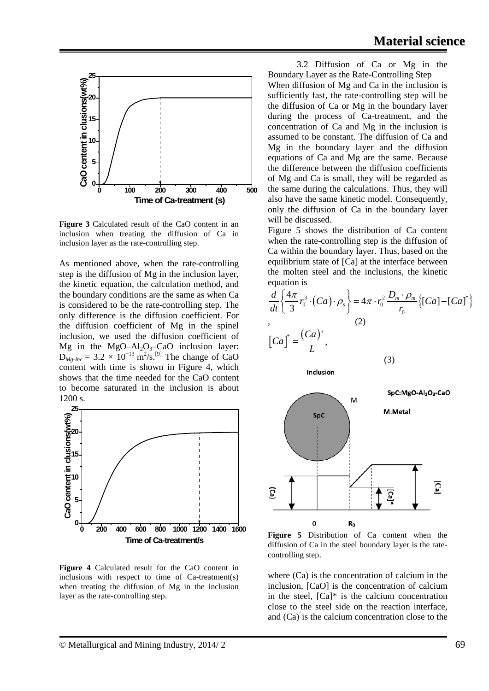

**Figure 3** Calculated result of the CaO content in an inclusion when treating the diffusion of Ca in inclusion layer as the rate-controlling step.

As mentioned above, when the rate-controlling step is the diffusion of Mg in the inclusion layer, the kinetic equation, the calculation method, and the boundary conditions are the same as when Ca is considered to be the rate-controlling step. The only difference is the diffusion coefficient. For the diffusion coefficient of Mg in the spinel inclusion, we used the diffusion coefficient of Mg in the MgO– $Al_2O_3$ –CaO inclusion layer:  $D_{Mg\text{-}Inc} = 3.2 \times 10^{-13} \text{ m}^2/\text{s}$ .<sup>[9]</sup> The change of CaO content with time is shown in Figure 4, which shows that the time needed for the CaO content to become saturated in the inclusion is about 1200 s.



**Figure 4** Calculated result for the CaO content in inclusions with respect to time of Ca-treatment(s) when treating the diffusion of Mg in the inclusion layer as the rate-controlling step.

3.2 Diffusion of Ca or Mg in the Boundary Layer as the Rate-Controlling Step When diffusion of Mg and Ca in the inclusion is sufficiently fast, the rate-controlling step will be the diffusion of Ca or Mg in the boundary layer during the process of Ca-treatment, and the concentration of Ca and Mg in the inclusion is assumed to be constant. The diffusion of Ca and Mg in the boundary layer and the diffusion equations of Ca and Mg are the same. Because the difference between the diffusion coefficients of Mg and Ca is small, they will be regarded as the same during the calculations. Thus, they will also have the same kinetic model. Consequently, only the diffusion of Ca in the boundary layer will be discussed.

Figure 5 shows the distribution of Ca content when the rate-controlling step is the diffusion of Ca within the boundary layer. Thus, based on the equilibrium state of [Ca] at the interface between the molten steel and the inclusions, the kinetic equation is

$$
\frac{d}{dt} \left\{ \frac{4\pi}{3} r_0^3 \cdot (Ca) \cdot \rho_s \right\} = 4\pi \cdot r_0^2 \frac{D_m \cdot \rho_m}{r_0} \left\{ [Ca] - [Ca]^* \right\}
$$
\n
$$
\left[ Ca \right]^* = \frac{(Ca)^{\prime}}{L},
$$

(3)

Inclusion



**Figure 5** Distribution of Ca content when the diffusion of Ca in the steel boundary layer is the ratecontrolling step.

where (Ca) is the concentration of calcium in the inclusion, [CaO] is the concentration of calcium in the steel,  $[Ca]^*$  is the calcium concentration close to the steel side on the reaction interface, and (Ca)′ is the calcium concentration close to the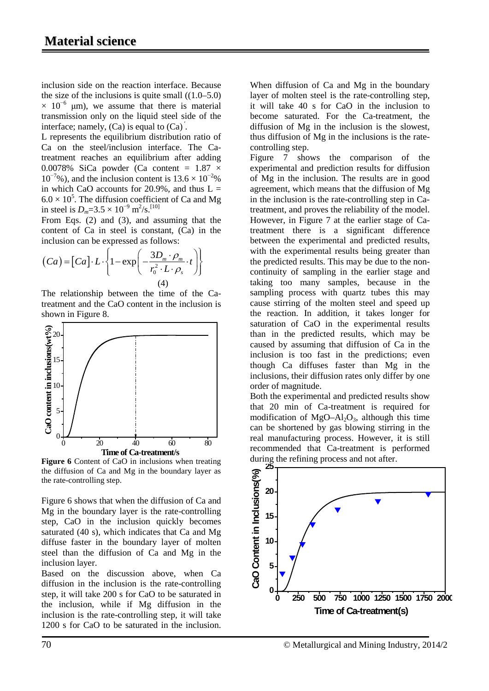inclusion side on the reaction interface. Because the size of the inclusions is quite small  $((1.0–5.0))$  $\times$  10<sup>-6</sup> µm), we assume that there is material transmission only on the liquid steel side of the interface; namely,  $(Ca)$  is equal to  $(Ca)$ .

L represents the equilibrium distribution ratio of Ca on the steel/inclusion interface. The Catreatment reaches an equilibrium after adding 0.0078% SiCa powder (Ca content =  $1.87 \times$  $10^{-7}$ %), and the inclusion content is  $13.6 \times 10^{-2}$ % in which CaO accounts for 20.9%, and thus  $L =$  $6.0 \times 10^5$ . The diffusion coefficient of Ca and Mg in steel is  $D_m = 3.5 \times 10^{-9} \text{ m}^2/\text{s}$ .<sup>[10]</sup>

From Eqs. (2) and (3), and assuming that the content of Ca in steel is constant, (Ca) in the inclusion can be expressed as follows:

$$
(Ca) = [Ca] \cdot L \cdot \left\{ 1 - \exp\left(-\frac{3D_m \cdot \rho_m}{r_0^2 \cdot L \cdot \rho_s} \cdot t\right) \right\}
$$
  
(4)

The relationship between the time of the Catreatment and the CaO content in the inclusion is shown in Figure 8.



**Figure 6** Content of CaO in inclusions when treating the diffusion of Ca and Mg in the boundary layer as the rate-controlling step.

Figure 6 shows that when the diffusion of Ca and Mg in the boundary layer is the rate-controlling step, CaO in the inclusion quickly becomes saturated (40 s), which indicates that Ca and Mg diffuse faster in the boundary layer of molten steel than the diffusion of Ca and Mg in the inclusion layer.

Based on the discussion above, when Ca diffusion in the inclusion is the rate-controlling step, it will take 200 s for CaO to be saturated in the inclusion, while if Mg diffusion in the inclusion is the rate-controlling step, it will take 1200 s for CaO to be saturated in the inclusion. When diffusion of Ca and Mg in the boundary layer of molten steel is the rate-controlling step, it will take 40 s for CaO in the inclusion to become saturated. For the Ca-treatment, the diffusion of Mg in the inclusion is the slowest, thus diffusion of Mg in the inclusions is the ratecontrolling step.

Figure 7 shows the comparison of the experimental and prediction results for diffusion of Mg in the inclusion. The results are in good agreement, which means that the diffusion of Mg in the inclusion is the rate-controlling step in Catreatment, and proves the reliability of the model. However, in Figure 7 at the earlier stage of Catreatment there is a significant difference between the experimental and predicted results, with the experimental results being greater than the predicted results. This may be due to the noncontinuity of sampling in the earlier stage and taking too many samples, because in the sampling process with quartz tubes this may cause stirring of the molten steel and speed up the reaction. In addition, it takes longer for saturation of CaO in the experimental results than in the predicted results, which may be caused by assuming that diffusion of Ca in the inclusion is too fast in the predictions; even though Ca diffuses faster than Mg in the inclusions, their diffusion rates only differ by one order of magnitude.

Both the experimental and predicted results show that 20 min of Ca-treatment is required for modification of  $MgO-Al<sub>2</sub>O<sub>3</sub>$ , although this time can be shortened by gas blowing stirring in the real manufacturing process. However, it is still recommended that Ca-treatment is performed during the refining process and not after.